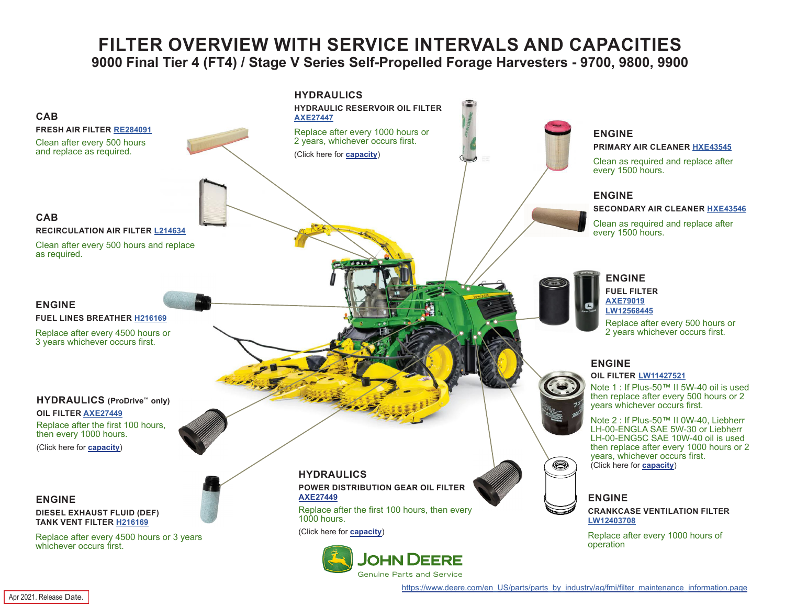## **FILTER OVERVIEW WITH SERVICE INTERVALS AND CAPACITIES 9000 Final Tier 4 (FT4) / Stage V Series Self-Propelled Forage Harvesters - 9700, 9800, 9900**

<span id="page-0-0"></span>